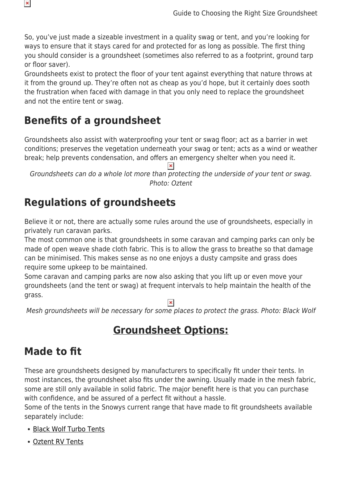So, you've just made a sizeable investment in a quality swag or tent, and you're looking for ways to ensure that it stays cared for and protected for as long as possible. The first thing you should consider is a groundsheet (sometimes also referred to as a footprint, ground tarp or floor saver).

Groundsheets exist to protect the floor of your tent against everything that nature throws at it from the ground up. They're often not as cheap as you'd hope, but it certainly does sooth the frustration when faced with damage in that you only need to replace the groundsheet and not the entire tent or swag.

## **Benefits of a groundsheet**

 $\pmb{\times}$ 

Groundsheets also assist with waterproofing your tent or swag floor; act as a barrier in wet conditions; preserves the vegetation underneath your swag or tent; acts as a wind or weather break; help prevents condensation, and offers an emergency shelter when you need it.

Groundsheets can do a whole lot more than protecting the underside of your tent or swag. Photo: Oztent

### **Regulations of groundsheets**

Believe it or not, there are actually some rules around the use of groundsheets, especially in privately run caravan parks.

The most common one is that groundsheets in some caravan and camping parks can only be made of open weave shade cloth fabric. This is to allow the grass to breathe so that damage can be minimised. This makes sense as no one enjoys a dusty campsite and grass does require some upkeep to be maintained.

Some caravan and camping parks are now also asking that you lift up or even move your groundsheets (and the tent or swag) at frequent intervals to help maintain the health of the grass.

 $\pmb{\times}$ 

Mesh groundsheets will be necessary for some places to protect the grass. Photo: Black Wolf

### **Groundsheet Options:**

### **Made to fit**

These are groundsheets designed by manufacturers to specifically fit under their tents. In most instances, the groundsheet also fits under the awning. Usually made in the mesh fabric, some are still only available in solid fabric. The major benefit here is that you can purchase with confidence, and be assured of a perfect fit without a hassle.

Some of the tents in the Snowys current range that have made to fit groundsheets available separately include:

- [Black Wolf Turbo Tents](https://www.snowys.com.au/turbo-groundsheets)
- [Oztent RV Tents](https://www.snowys.com.au/rv-mesh-floor-savers)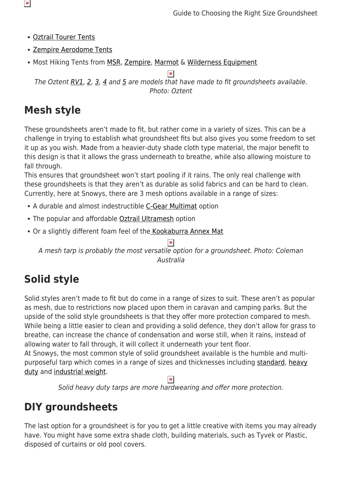- [Oztrail Tourer Tents](https://www.snowys.com.au/fast-frame-floor-guard)
- [Zempire Aerodome Tents](https://www.snowys.com.au/camping-tents#/manFilters=34&pageSize=40&orderBy=10&pageNumber=1)
- Most Hiking Tents from [MSR](https://www.snowys.com.au/hiking-tent-accessories#/specFilters=5!#-!1523&manFilters=25&pageSize=40&orderBy=-1&pageNumber=1), [Zempire](https://www.snowys.com.au/hiking-tent-accessories#/specFilters=5!#-!1523&manFilters=34&pageSize=40&orderBy=-1&pageNumber=1), [Marmot](https://www.snowys.com.au/hiking-tent-accessories#/specFilters=5!#-!1523&manFilters=216&pageSize=40&orderBy=-1&pageNumber=1) & [Wilderness Equipment](https://www.snowys.com.au/hiking-tent-accessories#/specFilters=5!#-!1523&manFilters=33&pageSize=40&orderBy=-1&pageNumber=1)

The Oztent  $RV1$ , [2,](https://www.snowys.com.au/rv2-canvas-touring-tent-2) [3](https://www.snowys.com.au/rv3-canvas-touring-tent-2), [4](https://www.snowys.com.au/rv4-canvas-touring-tent) and [5](https://www.snowys.com.au/rv5-canvas-touring-tent) are models that have made to fit groundsheets available. Photo: Oztent

# **Mesh style**

These groundsheets aren't made to fit, but rather come in a variety of sizes. This can be a challenge in trying to establish what groundsheet fits but also gives you some freedom to set it up as you wish. Made from a heavier-duty shade cloth type material, the major benefit to this design is that it allows the grass underneath to breathe, while also allowing moisture to fall through.

This ensures that groundsheet won't start pooling if it rains. The only real challenge with these groundsheets is that they aren't as durable as solid fabrics and can be hard to clean. Currently, here at Snowys, there are 3 mesh options available in a range of sizes:

- A durable and almost indestructible [C-Gear Multimat](https://www.snowys.com.au/multi-camp-mat) option
- The popular and affordable [Oztrail Ultramesh](https://www.snowys.com.au/ultramesh-tarp) option
- Or a slightly different foam feel of the [Kookaburra Annex Mat](https://www.snowys.com.au/annex-mat)

A mesh tarp is probably the most versatile option for a groundsheet. Photo: Coleman Australia

# **Solid style**

Solid styles aren't made to fit but do come in a range of sizes to suit. These aren't as popular as mesh, due to restrictions now placed upon them in caravan and camping parks. But the upside of the solid style groundsheets is that they offer more protection compared to mesh. While being a little easier to clean and providing a solid defence, they don't allow for grass to breathe, can increase the chance of condensation and worse still, when it rains, instead of allowing water to fall through, it will collect it underneath your tent floor.

At Snowys, the most common style of solid groundsheet available is the humble and multipurposeful tarp which comes in a range of sizes and thicknesses including [standard,](https://www.snowys.com.au/standard-tarp) [heavy](https://www.snowys.com.au/dura-green-heavy-duty-tarp) [duty](https://www.snowys.com.au/dura-green-heavy-duty-tarp) and [industrial weight](https://www.snowys.com.au/industrial-weight-tarp).

 $\pmb{\times}$ 

Solid heavy duty tarps are more hardwearing and offer more protection.

### **DIY groundsheets**

The last option for a groundsheet is for you to get a little creative with items you may already have. You might have some extra shade cloth, building materials, such as Tyvek or Plastic, disposed of curtains or old pool covers.

 $\pmb{\times}$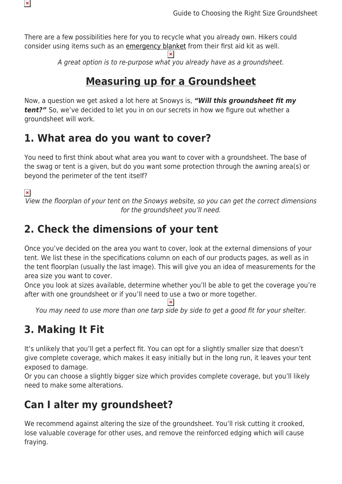

There are a few possibilities here for you to recycle what you already own. Hikers could consider using items such as an [emergency blanket](https://www.snowys.com.au/emergency-survival-blanket) from their first aid kit as well.

> $\overline{\mathbf{x}}$ A great option is to re-purpose what you already have as a groundsheet.

#### **Measuring up for a Groundsheet**

Now, a question we get asked a lot here at Snowys is, *"Will this groundsheet fit my tent?"* So, we've decided to let you in on our secrets in how we figure out whether a groundsheet will work.

#### **1. What area do you want to cover?**

You need to first think about what area you want to cover with a groundsheet. The base of the swag or tent is a given, but do you want some protection through the awning area(s) or beyond the perimeter of the tent itself?

 $\pmb{\times}$ 

View the floorplan of your tent on the Snowys website, so you can get the correct dimensions for the groundsheet you'll need.

## **2. Check the dimensions of your tent**

Once you've decided on the area you want to cover, look at the external dimensions of your tent. We list these in the specifications column on each of our products pages, as well as in the tent floorplan (usually the last image). This will give you an idea of measurements for the area size you want to cover.

Once you look at sizes available, determine whether you'll be able to get the coverage you're after with one groundsheet or if you'll need to use a two or more together.

You may need to use more than one tarp side by side to get a good fit for your shelter.

# **3. Making It Fit**

It's unlikely that you'll get a perfect fit. You can opt for a slightly smaller size that doesn't give complete coverage, which makes it easy initially but in the long run, it leaves your tent exposed to damage.

Or you can choose a slightly bigger size which provides complete coverage, but you'll likely need to make some alterations.

# **Can I alter my groundsheet?**

We recommend against altering the size of the groundsheet. You'll risk cutting it crooked, lose valuable coverage for other uses, and remove the reinforced edging which will cause fraying.

 $\pmb{\times}$